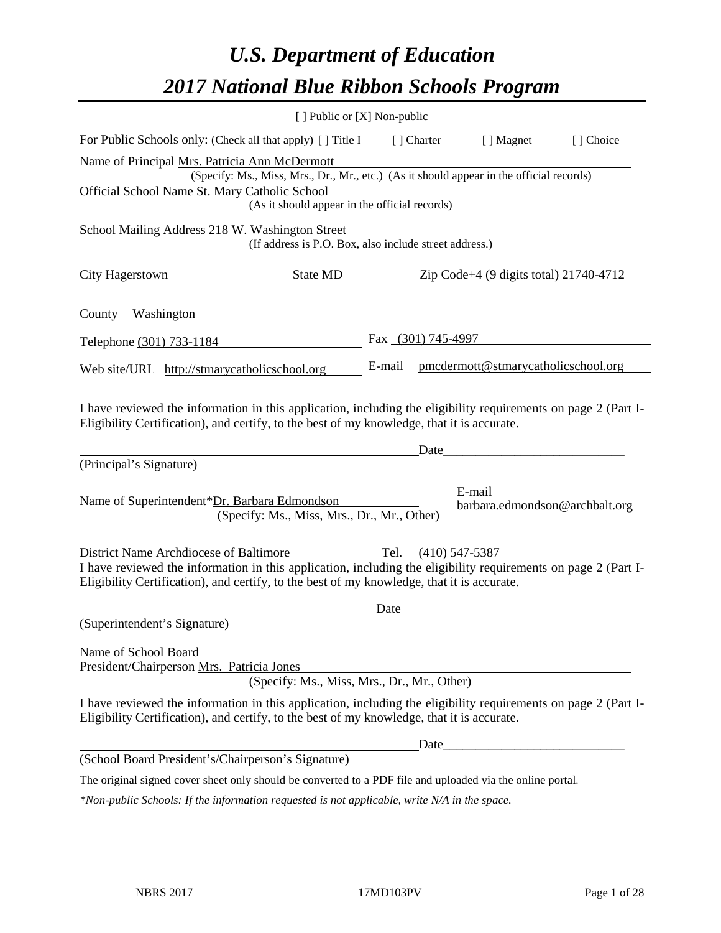# *U.S. Department of Education 2017 National Blue Ribbon Schools Program*

| [ ] Public or [X] Non-public                                                                                                                                                                                                                           |        |                     |                                          |           |
|--------------------------------------------------------------------------------------------------------------------------------------------------------------------------------------------------------------------------------------------------------|--------|---------------------|------------------------------------------|-----------|
| For Public Schools only: (Check all that apply) [] Title I                                                                                                                                                                                             |        | [ ] Charter         | [ ] Magnet                               | [] Choice |
| Name of Principal Mrs. Patricia Ann McDermott<br>(Specify: Ms., Miss, Mrs., Dr., Mr., etc.) (As it should appear in the official records)<br>Official School Name St. Mary Catholic School<br>(As it should appear in the official records)            |        |                     |                                          |           |
| School Mailing Address 218 W. Washington Street<br>(If address is P.O. Box, also include street address.)                                                                                                                                              |        |                     |                                          |           |
| City Hagerstown<br>State MD Zip Code+4 (9 digits total) 21740-4712                                                                                                                                                                                     |        |                     |                                          |           |
| County Washington                                                                                                                                                                                                                                      |        |                     |                                          |           |
| Telephone (301) 733-1184                                                                                                                                                                                                                               |        | Fax (301) 745-4997  |                                          |           |
| Web site/URL http://stmarycatholicschool.org                                                                                                                                                                                                           | E-mail |                     | pmcdermott@stmarycatholicschool.org      |           |
| I have reviewed the information in this application, including the eligibility requirements on page 2 (Part I-<br>Eligibility Certification), and certify, to the best of my knowledge, that it is accurate.                                           |        | Date_               |                                          |           |
| (Principal's Signature)                                                                                                                                                                                                                                |        |                     |                                          |           |
| Name of Superintendent*Dr. Barbara Edmondson<br>(Specify: Ms., Miss, Mrs., Dr., Mr., Other)                                                                                                                                                            |        |                     | E-mail<br>barbara.edmondson@archbalt.org |           |
| District Name Archdiocese of Baltimore<br>I have reviewed the information in this application, including the eligibility requirements on page 2 (Part I-<br>Eligibility Certification), and certify, to the best of my knowledge, that it is accurate. |        | Tel. (410) 547-5387 |                                          |           |
| (Superintendent's Signature)                                                                                                                                                                                                                           | Date   |                     |                                          |           |
| Name of School Board<br>President/Chairperson Mrs. Patricia Jones<br>(Specify: Ms., Miss, Mrs., Dr., Mr., Other)                                                                                                                                       |        |                     |                                          |           |
| I have reviewed the information in this application, including the eligibility requirements on page 2 (Part I-<br>Eligibility Certification), and certify, to the best of my knowledge, that it is accurate.                                           |        |                     |                                          |           |
|                                                                                                                                                                                                                                                        |        |                     | Date                                     |           |
| (School Board President's/Chairperson's Signature)                                                                                                                                                                                                     |        |                     |                                          |           |
| The original signed cover sheet only should be converted to a PDF file and uploaded via the online portal.                                                                                                                                             |        |                     |                                          |           |

*\*Non-public Schools: If the information requested is not applicable, write N/A in the space.*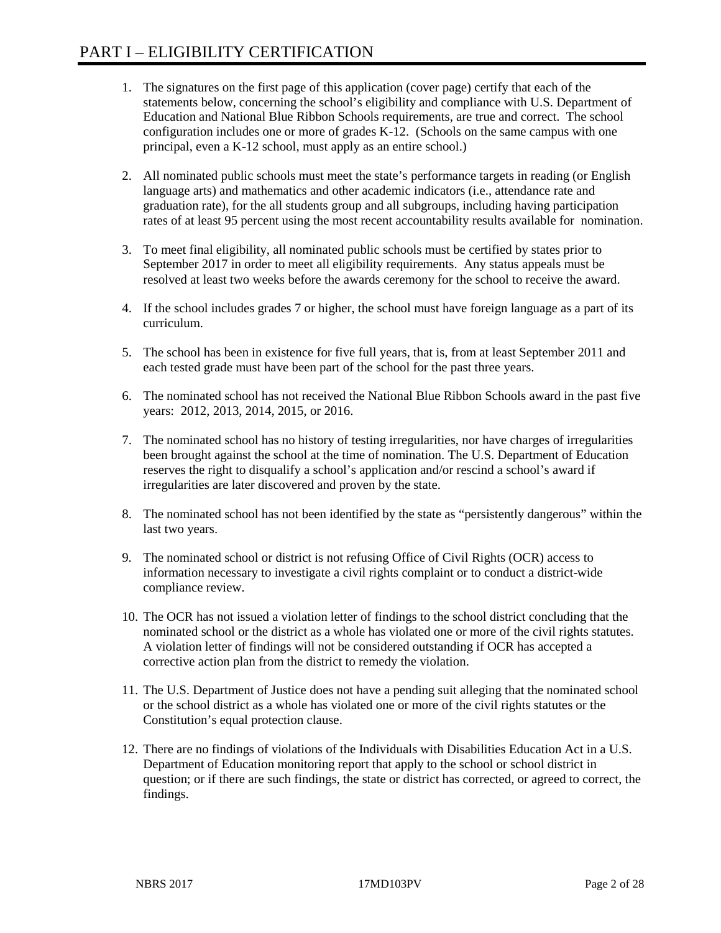- 1. The signatures on the first page of this application (cover page) certify that each of the statements below, concerning the school's eligibility and compliance with U.S. Department of Education and National Blue Ribbon Schools requirements, are true and correct. The school configuration includes one or more of grades K-12. (Schools on the same campus with one principal, even a K-12 school, must apply as an entire school.)
- 2. All nominated public schools must meet the state's performance targets in reading (or English language arts) and mathematics and other academic indicators (i.e., attendance rate and graduation rate), for the all students group and all subgroups, including having participation rates of at least 95 percent using the most recent accountability results available for nomination.
- 3. To meet final eligibility, all nominated public schools must be certified by states prior to September 2017 in order to meet all eligibility requirements. Any status appeals must be resolved at least two weeks before the awards ceremony for the school to receive the award.
- 4. If the school includes grades 7 or higher, the school must have foreign language as a part of its curriculum.
- 5. The school has been in existence for five full years, that is, from at least September 2011 and each tested grade must have been part of the school for the past three years.
- 6. The nominated school has not received the National Blue Ribbon Schools award in the past five years: 2012, 2013, 2014, 2015, or 2016.
- 7. The nominated school has no history of testing irregularities, nor have charges of irregularities been brought against the school at the time of nomination. The U.S. Department of Education reserves the right to disqualify a school's application and/or rescind a school's award if irregularities are later discovered and proven by the state.
- 8. The nominated school has not been identified by the state as "persistently dangerous" within the last two years.
- 9. The nominated school or district is not refusing Office of Civil Rights (OCR) access to information necessary to investigate a civil rights complaint or to conduct a district-wide compliance review.
- 10. The OCR has not issued a violation letter of findings to the school district concluding that the nominated school or the district as a whole has violated one or more of the civil rights statutes. A violation letter of findings will not be considered outstanding if OCR has accepted a corrective action plan from the district to remedy the violation.
- 11. The U.S. Department of Justice does not have a pending suit alleging that the nominated school or the school district as a whole has violated one or more of the civil rights statutes or the Constitution's equal protection clause.
- 12. There are no findings of violations of the Individuals with Disabilities Education Act in a U.S. Department of Education monitoring report that apply to the school or school district in question; or if there are such findings, the state or district has corrected, or agreed to correct, the findings.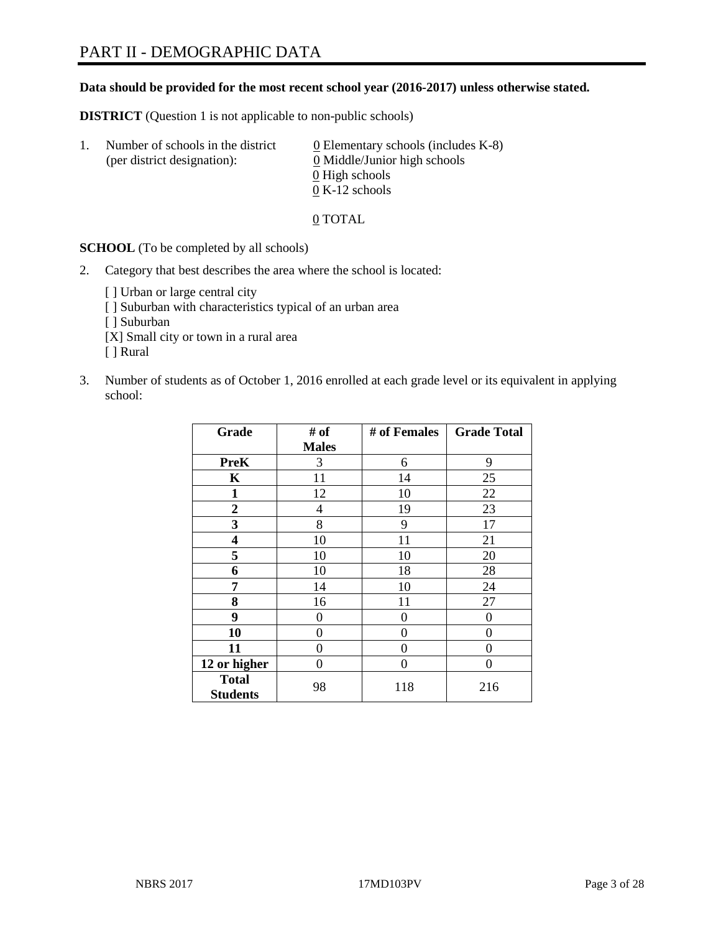#### **Data should be provided for the most recent school year (2016-2017) unless otherwise stated.**

**DISTRICT** (Question 1 is not applicable to non-public schools)

| -1. | Number of schools in the district<br>(per district designation): | $\underline{0}$ Elementary schools (includes K-8)<br>0 Middle/Junior high schools |
|-----|------------------------------------------------------------------|-----------------------------------------------------------------------------------|
|     |                                                                  | 0 High schools                                                                    |
|     |                                                                  | $0 K-12$ schools                                                                  |

0 TOTAL

**SCHOOL** (To be completed by all schools)

2. Category that best describes the area where the school is located:

[] Urban or large central city [ ] Suburban with characteristics typical of an urban area [ ] Suburban [X] Small city or town in a rural area [ ] Rural

3. Number of students as of October 1, 2016 enrolled at each grade level or its equivalent in applying school:

| Grade                           | # of         | # of Females | <b>Grade Total</b> |
|---------------------------------|--------------|--------------|--------------------|
|                                 | <b>Males</b> |              |                    |
| <b>PreK</b>                     | 3            | 6            | 9                  |
| K                               | 11           | 14           | 25                 |
| 1                               | 12           | 10           | 22                 |
| $\overline{2}$                  | 4            | 19           | 23                 |
| 3                               | 8            | 9            | 17                 |
| 4                               | 10           | 11           | 21                 |
| 5                               | 10           | 10           | 20                 |
| 6                               | 10           | 18           | 28                 |
| 7                               | 14           | 10           | 24                 |
| 8                               | 16           | 11           | 27                 |
| 9                               | 0            | 0            | 0                  |
| 10                              | 0            | 0            | 0                  |
| 11                              | 0            | 0            | $\mathbf{\Omega}$  |
| 12 or higher                    | 0            | 0            | 0                  |
| <b>Total</b><br><b>Students</b> | 98           | 118          | 216                |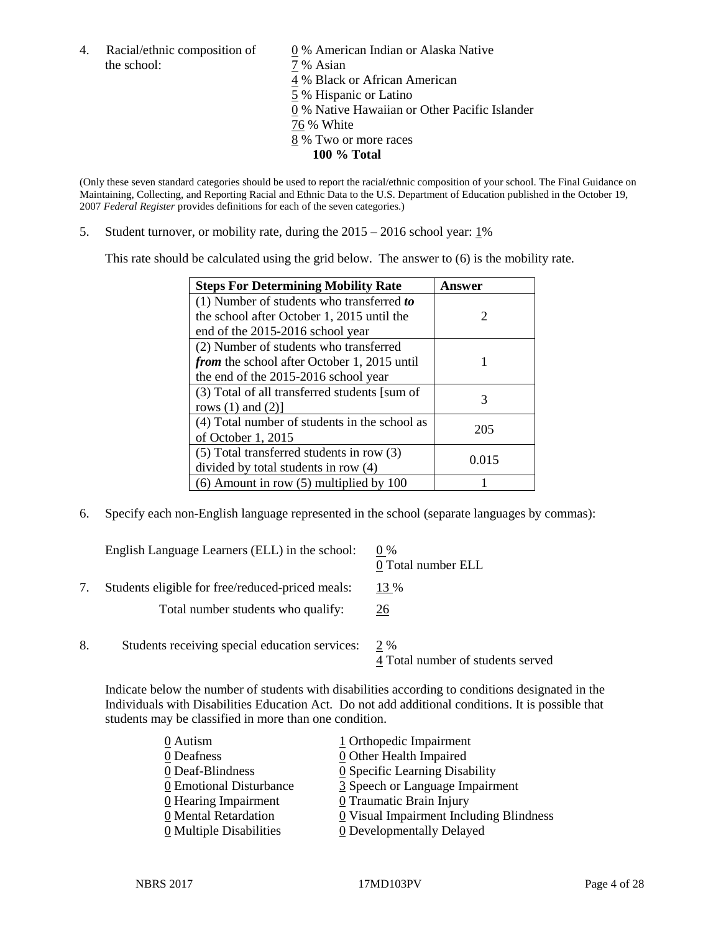4. Racial/ethnic composition of  $\qquad 0\%$  American Indian or Alaska Native the school:  $7\%$  Asian

 % Black or African American % Hispanic or Latino % Native Hawaiian or Other Pacific Islander 76 % White % Two or more races **100 % Total**

(Only these seven standard categories should be used to report the racial/ethnic composition of your school. The Final Guidance on Maintaining, Collecting, and Reporting Racial and Ethnic Data to the U.S. Department of Education published in the October 19, 2007 *Federal Register* provides definitions for each of the seven categories.)

5. Student turnover, or mobility rate, during the 2015 – 2016 school year: 1%

This rate should be calculated using the grid below. The answer to (6) is the mobility rate.

| <b>Steps For Determining Mobility Rate</b>         | Answer |
|----------------------------------------------------|--------|
| $(1)$ Number of students who transferred to        |        |
| the school after October 1, 2015 until the         | 2      |
| end of the 2015-2016 school year                   |        |
| (2) Number of students who transferred             |        |
| <i>from</i> the school after October 1, 2015 until |        |
| the end of the 2015-2016 school year               |        |
| (3) Total of all transferred students [sum of      | 3      |
| rows $(1)$ and $(2)$ ]                             |        |
| (4) Total number of students in the school as      | 205    |
| of October 1, 2015                                 |        |
| (5) Total transferred students in row (3)          | 0.015  |
| divided by total students in row (4)               |        |
| $(6)$ Amount in row $(5)$ multiplied by 100        |        |

6. Specify each non-English language represented in the school (separate languages by commas):

|    | English Language Learners (ELL) in the school:   | $0\%$<br>0 Total number ELL              |
|----|--------------------------------------------------|------------------------------------------|
|    | Students eligible for free/reduced-priced meals: | 13 %                                     |
|    | Total number students who qualify:               | 26                                       |
| 8. | Students receiving special education services:   | 2 %<br>4 Total number of students served |

Indicate below the number of students with disabilities according to conditions designated in the Individuals with Disabilities Education Act. Do not add additional conditions. It is possible that students may be classified in more than one condition.

| 1 Orthopedic Impairment                 |
|-----------------------------------------|
| 0 Other Health Impaired                 |
| 0 Specific Learning Disability          |
| 3 Speech or Language Impairment         |
| 0 Traumatic Brain Injury                |
| 0 Visual Impairment Including Blindness |
| <b>0</b> Developmentally Delayed        |
|                                         |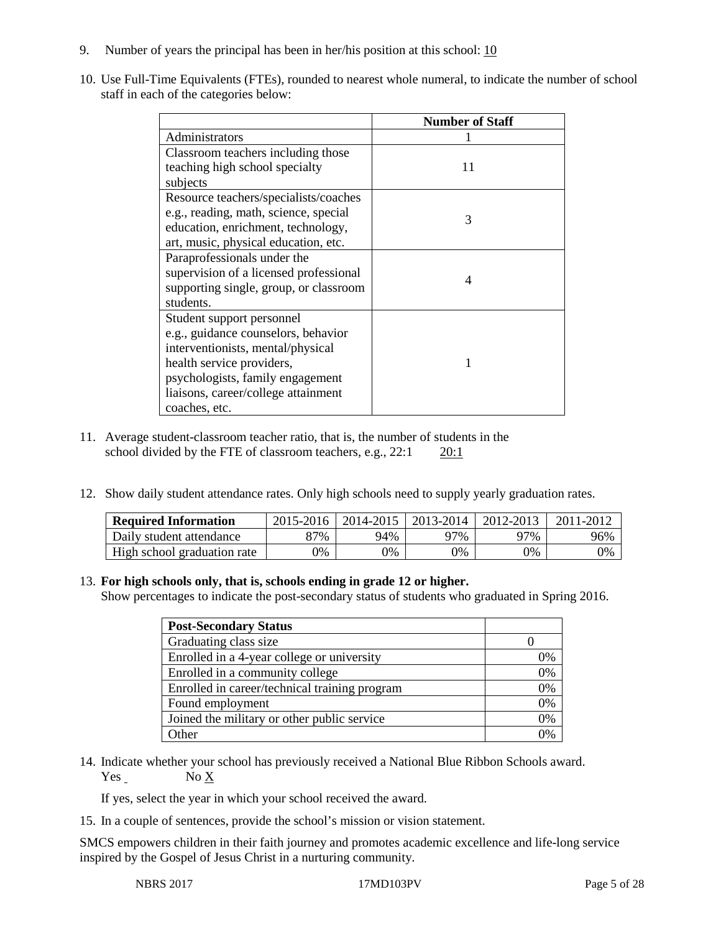- 9. Number of years the principal has been in her/his position at this school:  $\frac{10}{10}$
- 10. Use Full-Time Equivalents (FTEs), rounded to nearest whole numeral, to indicate the number of school staff in each of the categories below:

|                                        | <b>Number of Staff</b> |
|----------------------------------------|------------------------|
| Administrators                         |                        |
| Classroom teachers including those     |                        |
| teaching high school specialty         | 11                     |
| subjects                               |                        |
| Resource teachers/specialists/coaches  |                        |
| e.g., reading, math, science, special  | 3                      |
| education, enrichment, technology,     |                        |
| art, music, physical education, etc.   |                        |
| Paraprofessionals under the            |                        |
| supervision of a licensed professional | 4                      |
| supporting single, group, or classroom |                        |
| students.                              |                        |
| Student support personnel              |                        |
| e.g., guidance counselors, behavior    |                        |
| interventionists, mental/physical      |                        |
| health service providers,              |                        |
| psychologists, family engagement       |                        |
| liaisons, career/college attainment    |                        |
| coaches, etc.                          |                        |

- 11. Average student-classroom teacher ratio, that is, the number of students in the school divided by the FTE of classroom teachers, e.g., 22:1 20:1
- 12. Show daily student attendance rates. Only high schools need to supply yearly graduation rates.

| <b>Required Information</b> | $2015 - 2016$ | 2014-2015   2013-2014 |     | 2012-2013 | 2011-2012 |
|-----------------------------|---------------|-----------------------|-----|-----------|-----------|
| Daily student attendance    | 87%           | 94%                   | 97% | 97%       | 96%       |
| High school graduation rate | 9%            | 0%                    | 0%  | 9%        | 0%        |

#### 13. **For high schools only, that is, schools ending in grade 12 or higher.**

Show percentages to indicate the post-secondary status of students who graduated in Spring 2016.

| <b>Post-Secondary Status</b>                  |    |
|-----------------------------------------------|----|
| Graduating class size                         |    |
| Enrolled in a 4-year college or university    | 0% |
| Enrolled in a community college               | 0% |
| Enrolled in career/technical training program | 0% |
| Found employment                              | 0% |
| Joined the military or other public service   | 0% |
| <b>Other</b>                                  | በ% |

14. Indicate whether your school has previously received a National Blue Ribbon Schools award. Yes No X

If yes, select the year in which your school received the award.

15. In a couple of sentences, provide the school's mission or vision statement.

SMCS empowers children in their faith journey and promotes academic excellence and life-long service inspired by the Gospel of Jesus Christ in a nurturing community.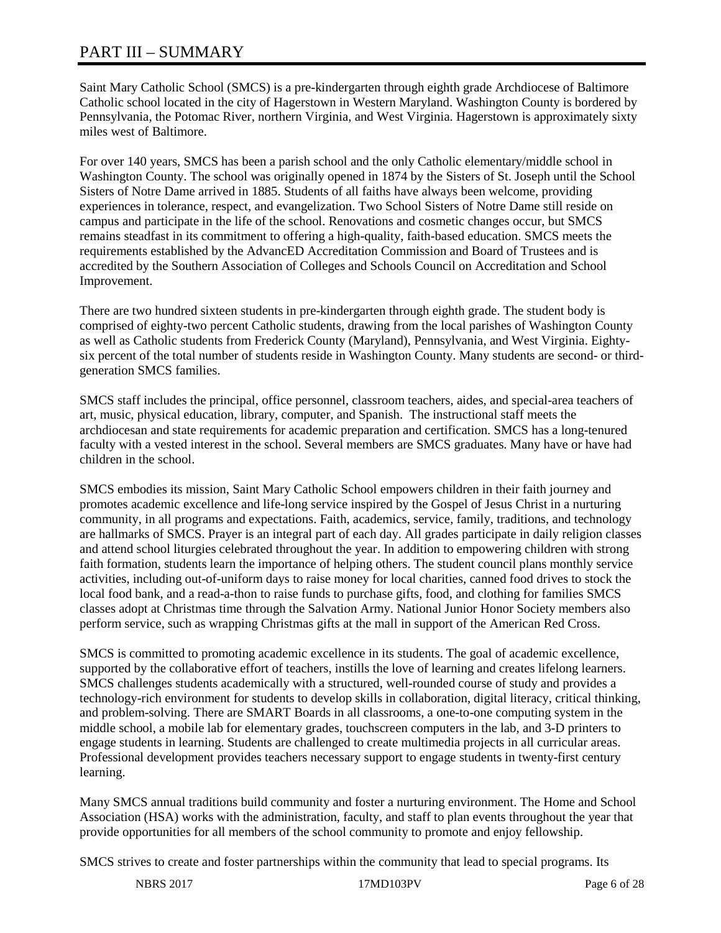# PART III – SUMMARY

Saint Mary Catholic School (SMCS) is a pre-kindergarten through eighth grade Archdiocese of Baltimore Catholic school located in the city of Hagerstown in Western Maryland. Washington County is bordered by Pennsylvania, the Potomac River, northern Virginia, and West Virginia. Hagerstown is approximately sixty miles west of Baltimore.

For over 140 years, SMCS has been a parish school and the only Catholic elementary/middle school in Washington County. The school was originally opened in 1874 by the Sisters of St. Joseph until the School Sisters of Notre Dame arrived in 1885. Students of all faiths have always been welcome, providing experiences in tolerance, respect, and evangelization. Two School Sisters of Notre Dame still reside on campus and participate in the life of the school. Renovations and cosmetic changes occur, but SMCS remains steadfast in its commitment to offering a high-quality, faith-based education. SMCS meets the requirements established by the AdvancED Accreditation Commission and Board of Trustees and is accredited by the Southern Association of Colleges and Schools Council on Accreditation and School Improvement.

There are two hundred sixteen students in pre-kindergarten through eighth grade. The student body is comprised of eighty-two percent Catholic students, drawing from the local parishes of Washington County as well as Catholic students from Frederick County (Maryland), Pennsylvania, and West Virginia. Eightysix percent of the total number of students reside in Washington County. Many students are second- or thirdgeneration SMCS families.

SMCS staff includes the principal, office personnel, classroom teachers, aides, and special-area teachers of art, music, physical education, library, computer, and Spanish. The instructional staff meets the archdiocesan and state requirements for academic preparation and certification. SMCS has a long-tenured faculty with a vested interest in the school. Several members are SMCS graduates. Many have or have had children in the school.

SMCS embodies its mission, Saint Mary Catholic School empowers children in their faith journey and promotes academic excellence and life-long service inspired by the Gospel of Jesus Christ in a nurturing community, in all programs and expectations. Faith, academics, service, family, traditions, and technology are hallmarks of SMCS. Prayer is an integral part of each day. All grades participate in daily religion classes and attend school liturgies celebrated throughout the year. In addition to empowering children with strong faith formation, students learn the importance of helping others. The student council plans monthly service activities, including out-of-uniform days to raise money for local charities, canned food drives to stock the local food bank, and a read-a-thon to raise funds to purchase gifts, food, and clothing for families SMCS classes adopt at Christmas time through the Salvation Army. National Junior Honor Society members also perform service, such as wrapping Christmas gifts at the mall in support of the American Red Cross.

SMCS is committed to promoting academic excellence in its students. The goal of academic excellence, supported by the collaborative effort of teachers, instills the love of learning and creates lifelong learners. SMCS challenges students academically with a structured, well-rounded course of study and provides a technology-rich environment for students to develop skills in collaboration, digital literacy, critical thinking, and problem-solving. There are SMART Boards in all classrooms, a one-to-one computing system in the middle school, a mobile lab for elementary grades, touchscreen computers in the lab, and 3-D printers to engage students in learning. Students are challenged to create multimedia projects in all curricular areas. Professional development provides teachers necessary support to engage students in twenty-first century learning.

Many SMCS annual traditions build community and foster a nurturing environment. The Home and School Association (HSA) works with the administration, faculty, and staff to plan events throughout the year that provide opportunities for all members of the school community to promote and enjoy fellowship.

SMCS strives to create and foster partnerships within the community that lead to special programs. Its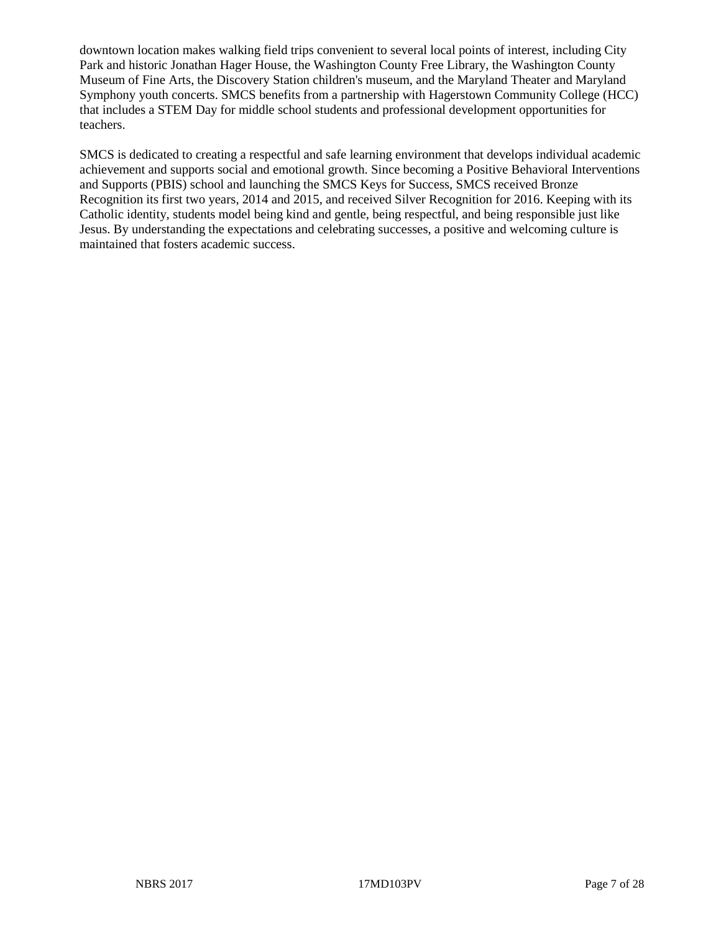downtown location makes walking field trips convenient to several local points of interest, including City Park and historic Jonathan Hager House, the Washington County Free Library, the Washington County Museum of Fine Arts, the Discovery Station children's museum, and the Maryland Theater and Maryland Symphony youth concerts. SMCS benefits from a partnership with Hagerstown Community College (HCC) that includes a STEM Day for middle school students and professional development opportunities for teachers.

SMCS is dedicated to creating a respectful and safe learning environment that develops individual academic achievement and supports social and emotional growth. Since becoming a Positive Behavioral Interventions and Supports (PBIS) school and launching the SMCS Keys for Success, SMCS received Bronze Recognition its first two years, 2014 and 2015, and received Silver Recognition for 2016. Keeping with its Catholic identity, students model being kind and gentle, being respectful, and being responsible just like Jesus. By understanding the expectations and celebrating successes, a positive and welcoming culture is maintained that fosters academic success.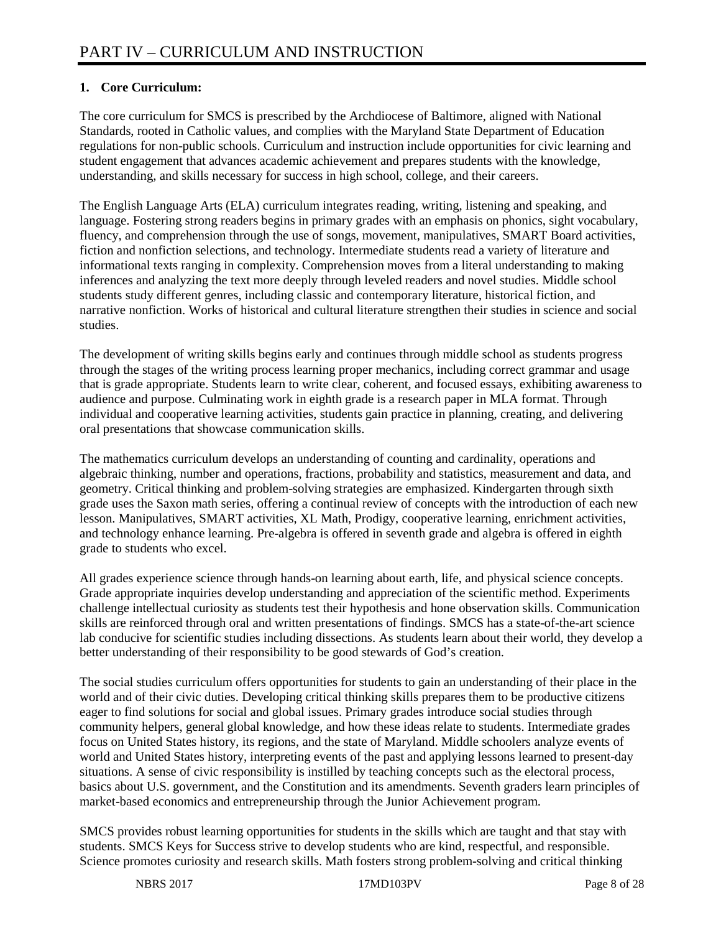# **1. Core Curriculum:**

The core curriculum for SMCS is prescribed by the Archdiocese of Baltimore, aligned with National Standards, rooted in Catholic values, and complies with the Maryland State Department of Education regulations for non-public schools. Curriculum and instruction include opportunities for civic learning and student engagement that advances academic achievement and prepares students with the knowledge, understanding, and skills necessary for success in high school, college, and their careers.

The English Language Arts (ELA) curriculum integrates reading, writing, listening and speaking, and language. Fostering strong readers begins in primary grades with an emphasis on phonics, sight vocabulary, fluency, and comprehension through the use of songs, movement, manipulatives, SMART Board activities, fiction and nonfiction selections, and technology. Intermediate students read a variety of literature and informational texts ranging in complexity. Comprehension moves from a literal understanding to making inferences and analyzing the text more deeply through leveled readers and novel studies. Middle school students study different genres, including classic and contemporary literature, historical fiction, and narrative nonfiction. Works of historical and cultural literature strengthen their studies in science and social studies.

The development of writing skills begins early and continues through middle school as students progress through the stages of the writing process learning proper mechanics, including correct grammar and usage that is grade appropriate. Students learn to write clear, coherent, and focused essays, exhibiting awareness to audience and purpose. Culminating work in eighth grade is a research paper in MLA format. Through individual and cooperative learning activities, students gain practice in planning, creating, and delivering oral presentations that showcase communication skills.

The mathematics curriculum develops an understanding of counting and cardinality, operations and algebraic thinking, number and operations, fractions, probability and statistics, measurement and data, and geometry. Critical thinking and problem-solving strategies are emphasized. Kindergarten through sixth grade uses the Saxon math series, offering a continual review of concepts with the introduction of each new lesson. Manipulatives, SMART activities, XL Math, Prodigy, cooperative learning, enrichment activities, and technology enhance learning. Pre-algebra is offered in seventh grade and algebra is offered in eighth grade to students who excel.

All grades experience science through hands-on learning about earth, life, and physical science concepts. Grade appropriate inquiries develop understanding and appreciation of the scientific method. Experiments challenge intellectual curiosity as students test their hypothesis and hone observation skills. Communication skills are reinforced through oral and written presentations of findings. SMCS has a state-of-the-art science lab conducive for scientific studies including dissections. As students learn about their world, they develop a better understanding of their responsibility to be good stewards of God's creation.

The social studies curriculum offers opportunities for students to gain an understanding of their place in the world and of their civic duties. Developing critical thinking skills prepares them to be productive citizens eager to find solutions for social and global issues. Primary grades introduce social studies through community helpers, general global knowledge, and how these ideas relate to students. Intermediate grades focus on United States history, its regions, and the state of Maryland. Middle schoolers analyze events of world and United States history, interpreting events of the past and applying lessons learned to present-day situations. A sense of civic responsibility is instilled by teaching concepts such as the electoral process, basics about U.S. government, and the Constitution and its amendments. Seventh graders learn principles of market-based economics and entrepreneurship through the Junior Achievement program.

SMCS provides robust learning opportunities for students in the skills which are taught and that stay with students. SMCS Keys for Success strive to develop students who are kind, respectful, and responsible. Science promotes curiosity and research skills. Math fosters strong problem-solving and critical thinking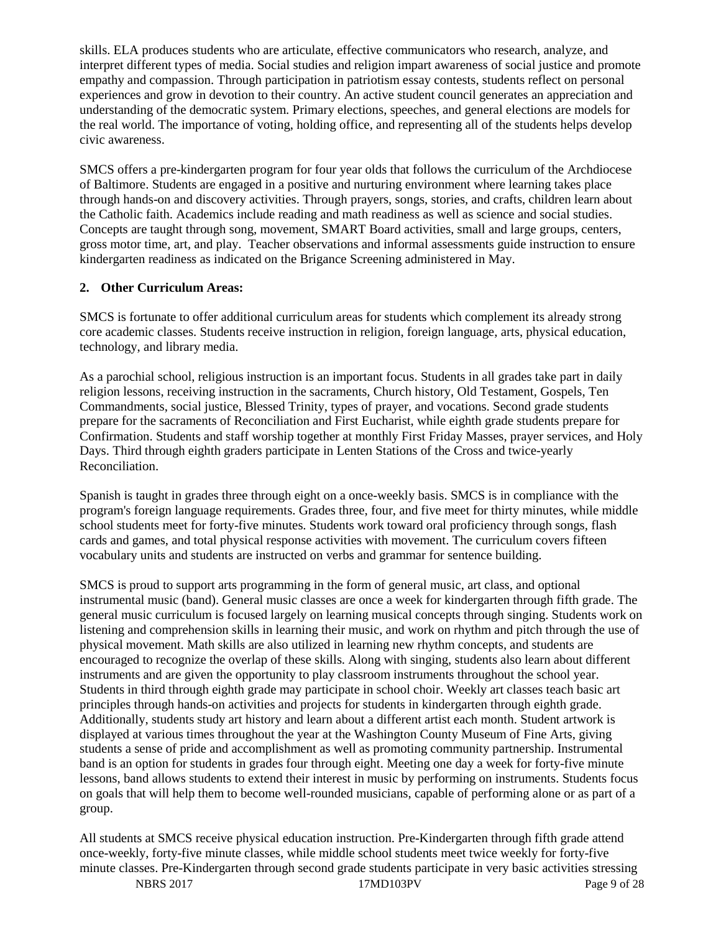skills. ELA produces students who are articulate, effective communicators who research, analyze, and interpret different types of media. Social studies and religion impart awareness of social justice and promote empathy and compassion. Through participation in patriotism essay contests, students reflect on personal experiences and grow in devotion to their country. An active student council generates an appreciation and understanding of the democratic system. Primary elections, speeches, and general elections are models for the real world. The importance of voting, holding office, and representing all of the students helps develop civic awareness.

SMCS offers a pre-kindergarten program for four year olds that follows the curriculum of the Archdiocese of Baltimore. Students are engaged in a positive and nurturing environment where learning takes place through hands-on and discovery activities. Through prayers, songs, stories, and crafts, children learn about the Catholic faith. Academics include reading and math readiness as well as science and social studies. Concepts are taught through song, movement, SMART Board activities, small and large groups, centers, gross motor time, art, and play. Teacher observations and informal assessments guide instruction to ensure kindergarten readiness as indicated on the Brigance Screening administered in May.

#### **2. Other Curriculum Areas:**

SMCS is fortunate to offer additional curriculum areas for students which complement its already strong core academic classes. Students receive instruction in religion, foreign language, arts, physical education, technology, and library media.

As a parochial school, religious instruction is an important focus. Students in all grades take part in daily religion lessons, receiving instruction in the sacraments, Church history, Old Testament, Gospels, Ten Commandments, social justice, Blessed Trinity, types of prayer, and vocations. Second grade students prepare for the sacraments of Reconciliation and First Eucharist, while eighth grade students prepare for Confirmation. Students and staff worship together at monthly First Friday Masses, prayer services, and Holy Days. Third through eighth graders participate in Lenten Stations of the Cross and twice-yearly Reconciliation.

Spanish is taught in grades three through eight on a once-weekly basis. SMCS is in compliance with the program's foreign language requirements. Grades three, four, and five meet for thirty minutes, while middle school students meet for forty-five minutes. Students work toward oral proficiency through songs, flash cards and games, and total physical response activities with movement. The curriculum covers fifteen vocabulary units and students are instructed on verbs and grammar for sentence building.

SMCS is proud to support arts programming in the form of general music, art class, and optional instrumental music (band). General music classes are once a week for kindergarten through fifth grade. The general music curriculum is focused largely on learning musical concepts through singing. Students work on listening and comprehension skills in learning their music, and work on rhythm and pitch through the use of physical movement. Math skills are also utilized in learning new rhythm concepts, and students are encouraged to recognize the overlap of these skills. Along with singing, students also learn about different instruments and are given the opportunity to play classroom instruments throughout the school year. Students in third through eighth grade may participate in school choir. Weekly art classes teach basic art principles through hands-on activities and projects for students in kindergarten through eighth grade. Additionally, students study art history and learn about a different artist each month. Student artwork is displayed at various times throughout the year at the Washington County Museum of Fine Arts, giving students a sense of pride and accomplishment as well as promoting community partnership. Instrumental band is an option for students in grades four through eight. Meeting one day a week for forty-five minute lessons, band allows students to extend their interest in music by performing on instruments. Students focus on goals that will help them to become well-rounded musicians, capable of performing alone or as part of a group.

All students at SMCS receive physical education instruction. Pre-Kindergarten through fifth grade attend once-weekly, forty-five minute classes, while middle school students meet twice weekly for forty-five minute classes. Pre-Kindergarten through second grade students participate in very basic activities stressing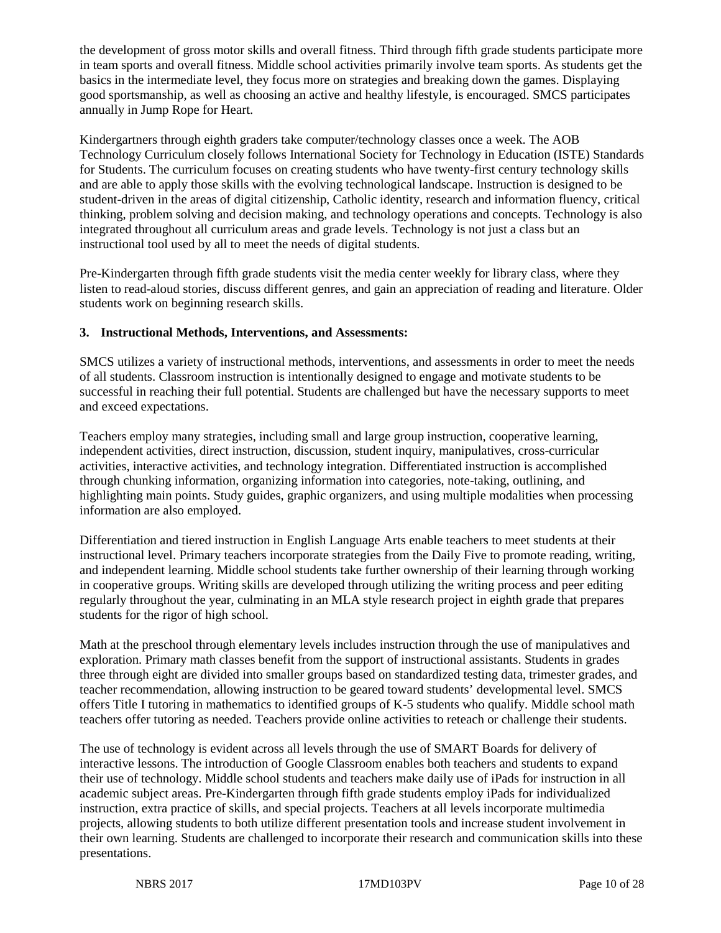the development of gross motor skills and overall fitness. Third through fifth grade students participate more in team sports and overall fitness. Middle school activities primarily involve team sports. As students get the basics in the intermediate level, they focus more on strategies and breaking down the games. Displaying good sportsmanship, as well as choosing an active and healthy lifestyle, is encouraged. SMCS participates annually in Jump Rope for Heart.

Kindergartners through eighth graders take computer/technology classes once a week. The AOB Technology Curriculum closely follows International Society for Technology in Education (ISTE) Standards for Students. The curriculum focuses on creating students who have twenty-first century technology skills and are able to apply those skills with the evolving technological landscape. Instruction is designed to be student-driven in the areas of digital citizenship, Catholic identity, research and information fluency, critical thinking, problem solving and decision making, and technology operations and concepts. Technology is also integrated throughout all curriculum areas and grade levels. Technology is not just a class but an instructional tool used by all to meet the needs of digital students.

Pre-Kindergarten through fifth grade students visit the media center weekly for library class, where they listen to read-aloud stories, discuss different genres, and gain an appreciation of reading and literature. Older students work on beginning research skills.

#### **3. Instructional Methods, Interventions, and Assessments:**

SMCS utilizes a variety of instructional methods, interventions, and assessments in order to meet the needs of all students. Classroom instruction is intentionally designed to engage and motivate students to be successful in reaching their full potential. Students are challenged but have the necessary supports to meet and exceed expectations.

Teachers employ many strategies, including small and large group instruction, cooperative learning, independent activities, direct instruction, discussion, student inquiry, manipulatives, cross-curricular activities, interactive activities, and technology integration. Differentiated instruction is accomplished through chunking information, organizing information into categories, note-taking, outlining, and highlighting main points. Study guides, graphic organizers, and using multiple modalities when processing information are also employed.

Differentiation and tiered instruction in English Language Arts enable teachers to meet students at their instructional level. Primary teachers incorporate strategies from the Daily Five to promote reading, writing, and independent learning. Middle school students take further ownership of their learning through working in cooperative groups. Writing skills are developed through utilizing the writing process and peer editing regularly throughout the year, culminating in an MLA style research project in eighth grade that prepares students for the rigor of high school.

Math at the preschool through elementary levels includes instruction through the use of manipulatives and exploration. Primary math classes benefit from the support of instructional assistants. Students in grades three through eight are divided into smaller groups based on standardized testing data, trimester grades, and teacher recommendation, allowing instruction to be geared toward students' developmental level. SMCS offers Title I tutoring in mathematics to identified groups of K-5 students who qualify. Middle school math teachers offer tutoring as needed. Teachers provide online activities to reteach or challenge their students.

The use of technology is evident across all levels through the use of SMART Boards for delivery of interactive lessons. The introduction of Google Classroom enables both teachers and students to expand their use of technology. Middle school students and teachers make daily use of iPads for instruction in all academic subject areas. Pre-Kindergarten through fifth grade students employ iPads for individualized instruction, extra practice of skills, and special projects. Teachers at all levels incorporate multimedia projects, allowing students to both utilize different presentation tools and increase student involvement in their own learning. Students are challenged to incorporate their research and communication skills into these presentations.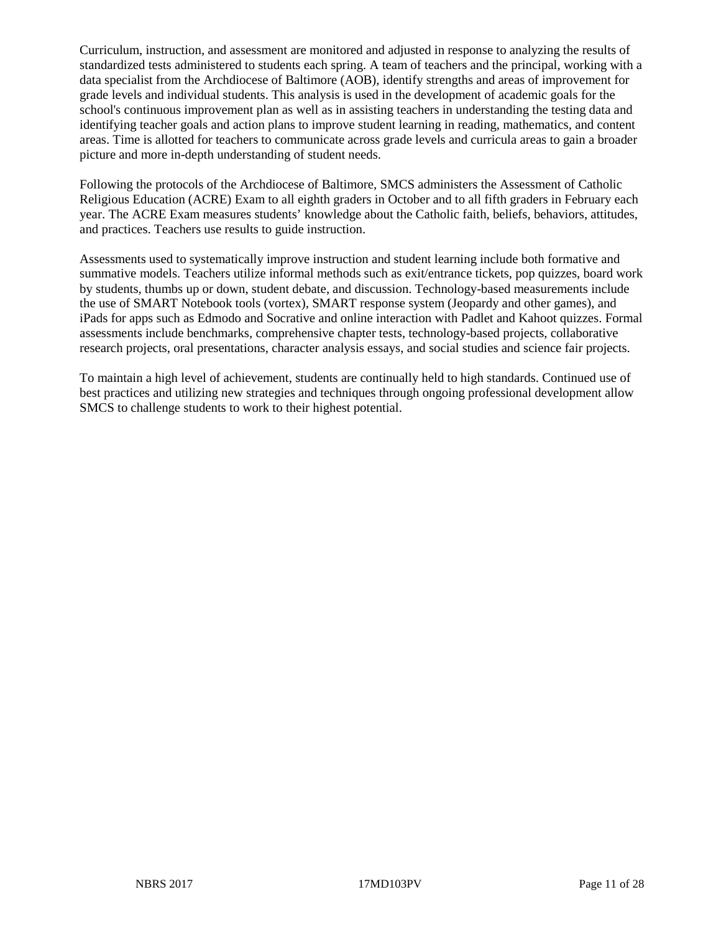Curriculum, instruction, and assessment are monitored and adjusted in response to analyzing the results of standardized tests administered to students each spring. A team of teachers and the principal, working with a data specialist from the Archdiocese of Baltimore (AOB), identify strengths and areas of improvement for grade levels and individual students. This analysis is used in the development of academic goals for the school's continuous improvement plan as well as in assisting teachers in understanding the testing data and identifying teacher goals and action plans to improve student learning in reading, mathematics, and content areas. Time is allotted for teachers to communicate across grade levels and curricula areas to gain a broader picture and more in-depth understanding of student needs.

Following the protocols of the Archdiocese of Baltimore, SMCS administers the Assessment of Catholic Religious Education (ACRE) Exam to all eighth graders in October and to all fifth graders in February each year. The ACRE Exam measures students' knowledge about the Catholic faith, beliefs, behaviors, attitudes, and practices. Teachers use results to guide instruction.

Assessments used to systematically improve instruction and student learning include both formative and summative models. Teachers utilize informal methods such as exit/entrance tickets, pop quizzes, board work by students, thumbs up or down, student debate, and discussion. Technology-based measurements include the use of SMART Notebook tools (vortex), SMART response system (Jeopardy and other games), and iPads for apps such as Edmodo and Socrative and online interaction with Padlet and Kahoot quizzes. Formal assessments include benchmarks, comprehensive chapter tests, technology-based projects, collaborative research projects, oral presentations, character analysis essays, and social studies and science fair projects.

To maintain a high level of achievement, students are continually held to high standards. Continued use of best practices and utilizing new strategies and techniques through ongoing professional development allow SMCS to challenge students to work to their highest potential.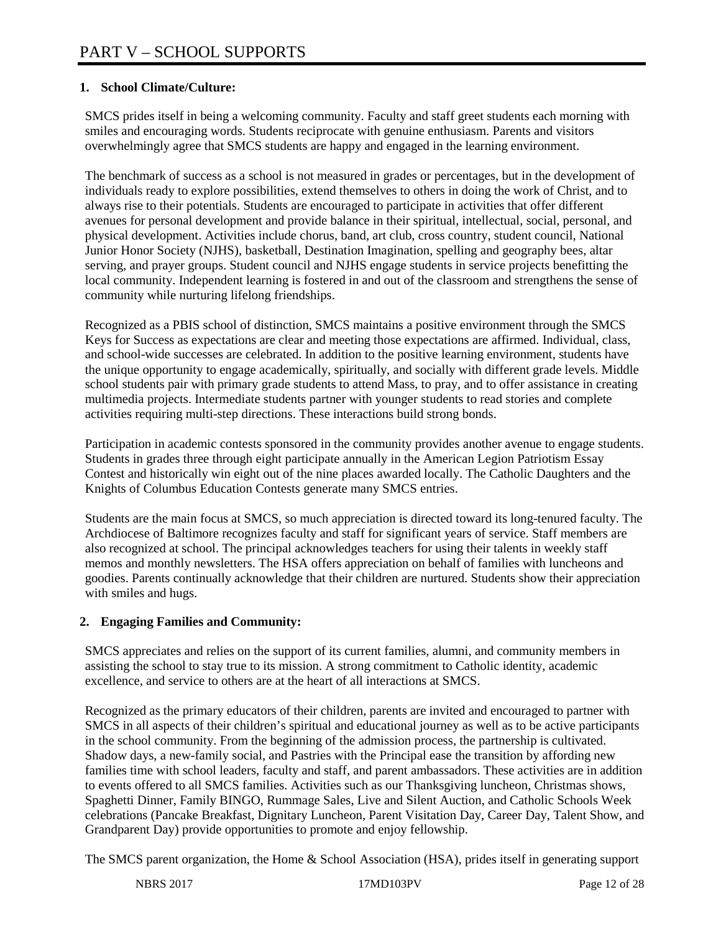### **1. School Climate/Culture:**

SMCS prides itself in being a welcoming community. Faculty and staff greet students each morning with smiles and encouraging words. Students reciprocate with genuine enthusiasm. Parents and visitors overwhelmingly agree that SMCS students are happy and engaged in the learning environment.

The benchmark of success as a school is not measured in grades or percentages, but in the development of individuals ready to explore possibilities, extend themselves to others in doing the work of Christ, and to always rise to their potentials. Students are encouraged to participate in activities that offer different avenues for personal development and provide balance in their spiritual, intellectual, social, personal, and physical development. Activities include chorus, band, art club, cross country, student council, National Junior Honor Society (NJHS), basketball, Destination Imagination, spelling and geography bees, altar serving, and prayer groups. Student council and NJHS engage students in service projects benefitting the local community. Independent learning is fostered in and out of the classroom and strengthens the sense of community while nurturing lifelong friendships.

Recognized as a PBIS school of distinction, SMCS maintains a positive environment through the SMCS Keys for Success as expectations are clear and meeting those expectations are affirmed. Individual, class, and school-wide successes are celebrated. In addition to the positive learning environment, students have the unique opportunity to engage academically, spiritually, and socially with different grade levels. Middle school students pair with primary grade students to attend Mass, to pray, and to offer assistance in creating multimedia projects. Intermediate students partner with younger students to read stories and complete activities requiring multi-step directions. These interactions build strong bonds.

Participation in academic contests sponsored in the community provides another avenue to engage students. Students in grades three through eight participate annually in the American Legion Patriotism Essay Contest and historically win eight out of the nine places awarded locally. The Catholic Daughters and the Knights of Columbus Education Contests generate many SMCS entries.

Students are the main focus at SMCS, so much appreciation is directed toward its long-tenured faculty. The Archdiocese of Baltimore recognizes faculty and staff for significant years of service. Staff members are also recognized at school. The principal acknowledges teachers for using their talents in weekly staff memos and monthly newsletters. The HSA offers appreciation on behalf of families with luncheons and goodies. Parents continually acknowledge that their children are nurtured. Students show their appreciation with smiles and hugs.

# **2. Engaging Families and Community:**

SMCS appreciates and relies on the support of its current families, alumni, and community members in assisting the school to stay true to its mission. A strong commitment to Catholic identity, academic excellence, and service to others are at the heart of all interactions at SMCS.

Recognized as the primary educators of their children, parents are invited and encouraged to partner with SMCS in all aspects of their children's spiritual and educational journey as well as to be active participants in the school community. From the beginning of the admission process, the partnership is cultivated. Shadow days, a new-family social, and Pastries with the Principal ease the transition by affording new families time with school leaders, faculty and staff, and parent ambassadors. These activities are in addition to events offered to all SMCS families. Activities such as our Thanksgiving luncheon, Christmas shows, Spaghetti Dinner, Family BINGO, Rummage Sales, Live and Silent Auction, and Catholic Schools Week celebrations (Pancake Breakfast, Dignitary Luncheon, Parent Visitation Day, Career Day, Talent Show, and Grandparent Day) provide opportunities to promote and enjoy fellowship.

The SMCS parent organization, the Home & School Association (HSA), prides itself in generating support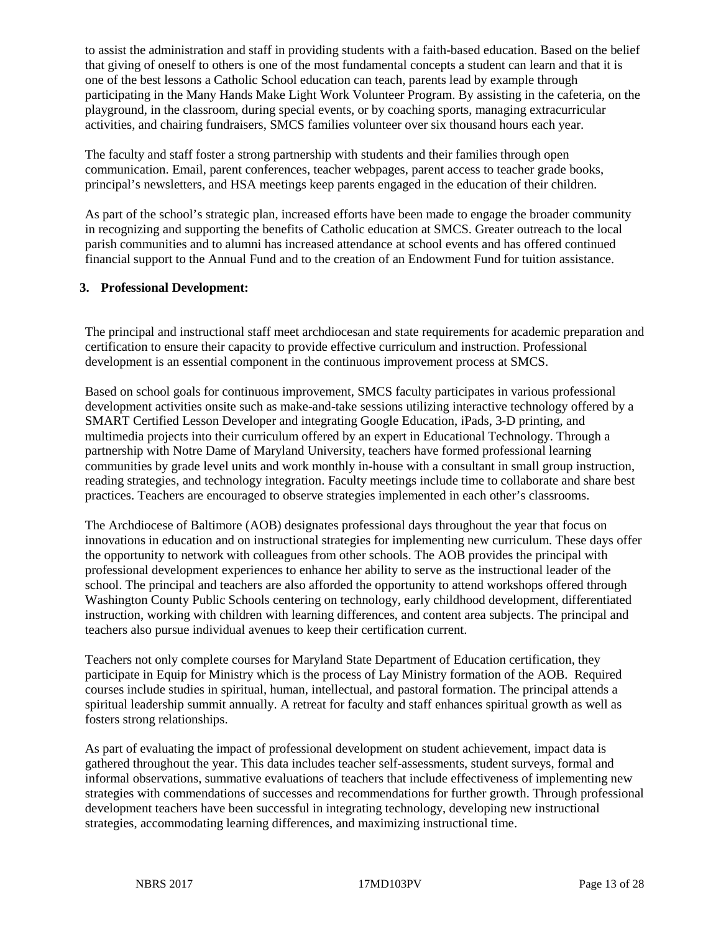to assist the administration and staff in providing students with a faith-based education. Based on the belief that giving of oneself to others is one of the most fundamental concepts a student can learn and that it is one of the best lessons a Catholic School education can teach, parents lead by example through participating in the Many Hands Make Light Work Volunteer Program. By assisting in the cafeteria, on the playground, in the classroom, during special events, or by coaching sports, managing extracurricular activities, and chairing fundraisers, SMCS families volunteer over six thousand hours each year.

The faculty and staff foster a strong partnership with students and their families through open communication. Email, parent conferences, teacher webpages, parent access to teacher grade books, principal's newsletters, and HSA meetings keep parents engaged in the education of their children.

As part of the school's strategic plan, increased efforts have been made to engage the broader community in recognizing and supporting the benefits of Catholic education at SMCS. Greater outreach to the local parish communities and to alumni has increased attendance at school events and has offered continued financial support to the Annual Fund and to the creation of an Endowment Fund for tuition assistance.

#### **3. Professional Development:**

The principal and instructional staff meet archdiocesan and state requirements for academic preparation and certification to ensure their capacity to provide effective curriculum and instruction. Professional development is an essential component in the continuous improvement process at SMCS.

Based on school goals for continuous improvement, SMCS faculty participates in various professional development activities onsite such as make-and-take sessions utilizing interactive technology offered by a SMART Certified Lesson Developer and integrating Google Education, iPads, 3-D printing, and multimedia projects into their curriculum offered by an expert in Educational Technology. Through a partnership with Notre Dame of Maryland University, teachers have formed professional learning communities by grade level units and work monthly in-house with a consultant in small group instruction, reading strategies, and technology integration. Faculty meetings include time to collaborate and share best practices. Teachers are encouraged to observe strategies implemented in each other's classrooms.

The Archdiocese of Baltimore (AOB) designates professional days throughout the year that focus on innovations in education and on instructional strategies for implementing new curriculum. These days offer the opportunity to network with colleagues from other schools. The AOB provides the principal with professional development experiences to enhance her ability to serve as the instructional leader of the school. The principal and teachers are also afforded the opportunity to attend workshops offered through Washington County Public Schools centering on technology, early childhood development, differentiated instruction, working with children with learning differences, and content area subjects. The principal and teachers also pursue individual avenues to keep their certification current.

Teachers not only complete courses for Maryland State Department of Education certification, they participate in Equip for Ministry which is the process of Lay Ministry formation of the AOB. Required courses include studies in spiritual, human, intellectual, and pastoral formation. The principal attends a spiritual leadership summit annually. A retreat for faculty and staff enhances spiritual growth as well as fosters strong relationships.

As part of evaluating the impact of professional development on student achievement, impact data is gathered throughout the year. This data includes teacher self-assessments, student surveys, formal and informal observations, summative evaluations of teachers that include effectiveness of implementing new strategies with commendations of successes and recommendations for further growth. Through professional development teachers have been successful in integrating technology, developing new instructional strategies, accommodating learning differences, and maximizing instructional time.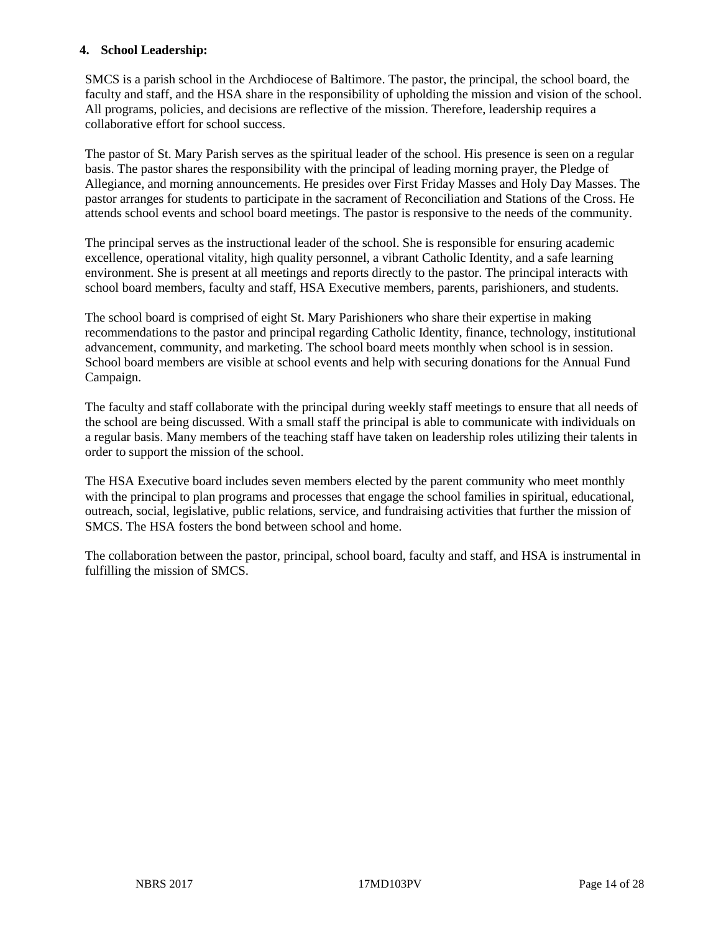#### **4. School Leadership:**

SMCS is a parish school in the Archdiocese of Baltimore. The pastor, the principal, the school board, the faculty and staff, and the HSA share in the responsibility of upholding the mission and vision of the school. All programs, policies, and decisions are reflective of the mission. Therefore, leadership requires a collaborative effort for school success.

The pastor of St. Mary Parish serves as the spiritual leader of the school. His presence is seen on a regular basis. The pastor shares the responsibility with the principal of leading morning prayer, the Pledge of Allegiance, and morning announcements. He presides over First Friday Masses and Holy Day Masses. The pastor arranges for students to participate in the sacrament of Reconciliation and Stations of the Cross. He attends school events and school board meetings. The pastor is responsive to the needs of the community.

The principal serves as the instructional leader of the school. She is responsible for ensuring academic excellence, operational vitality, high quality personnel, a vibrant Catholic Identity, and a safe learning environment. She is present at all meetings and reports directly to the pastor. The principal interacts with school board members, faculty and staff, HSA Executive members, parents, parishioners, and students.

The school board is comprised of eight St. Mary Parishioners who share their expertise in making recommendations to the pastor and principal regarding Catholic Identity, finance, technology, institutional advancement, community, and marketing. The school board meets monthly when school is in session. School board members are visible at school events and help with securing donations for the Annual Fund Campaign.

The faculty and staff collaborate with the principal during weekly staff meetings to ensure that all needs of the school are being discussed. With a small staff the principal is able to communicate with individuals on a regular basis. Many members of the teaching staff have taken on leadership roles utilizing their talents in order to support the mission of the school.

The HSA Executive board includes seven members elected by the parent community who meet monthly with the principal to plan programs and processes that engage the school families in spiritual, educational, outreach, social, legislative, public relations, service, and fundraising activities that further the mission of SMCS. The HSA fosters the bond between school and home.

The collaboration between the pastor, principal, school board, faculty and staff, and HSA is instrumental in fulfilling the mission of SMCS.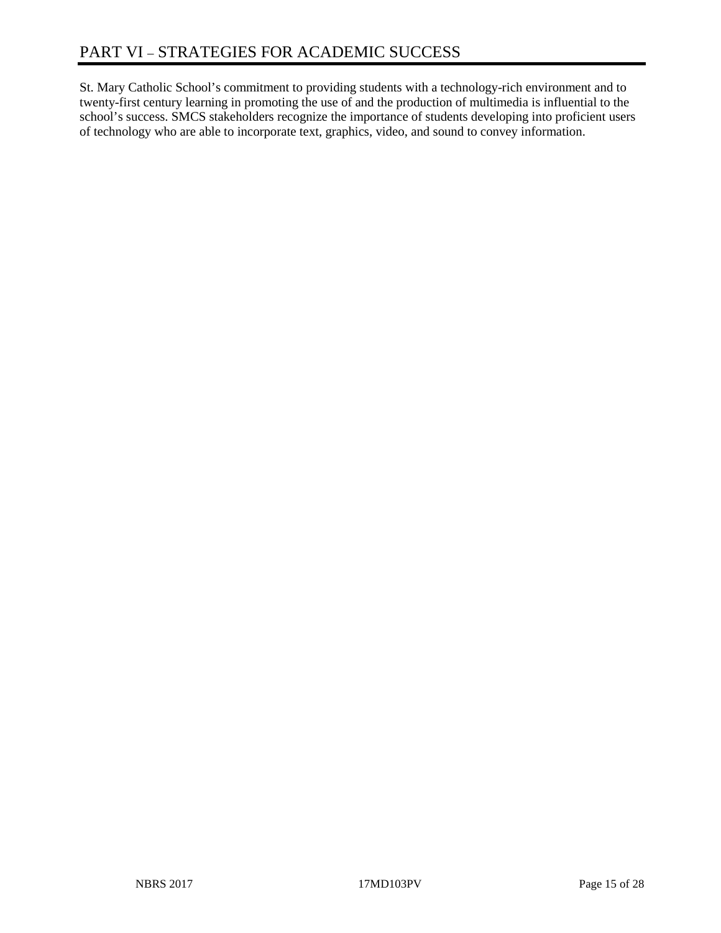St. Mary Catholic School's commitment to providing students with a technology-rich environment and to twenty-first century learning in promoting the use of and the production of multimedia is influential to the school's success. SMCS stakeholders recognize the importance of students developing into proficient users of technology who are able to incorporate text, graphics, video, and sound to convey information.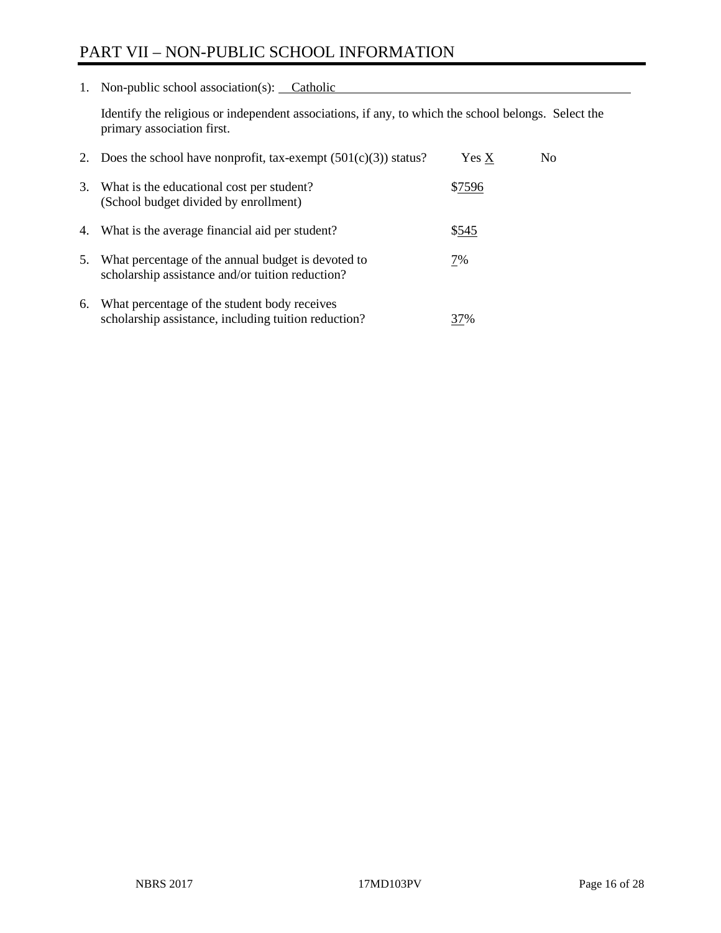# PART VII – NON-PUBLIC SCHOOL INFORMATION

1. Non-public school association(s): Catholic

Identify the religious or independent associations, if any, to which the school belongs. Select the primary association first.

| 2. | Does the school have nonprofit, tax-exempt $(501(c)(3))$ status?                                       | Yes X  | No. |
|----|--------------------------------------------------------------------------------------------------------|--------|-----|
| 3. | What is the educational cost per student?<br>(School budget divided by enrollment)                     | \$7596 |     |
| 4. | What is the average financial aid per student?                                                         | \$545  |     |
| 5. | What percentage of the annual budget is devoted to<br>scholarship assistance and/or tuition reduction? | 7%     |     |
| 6. | What percentage of the student body receives<br>scholarship assistance, including tuition reduction?   | 37%    |     |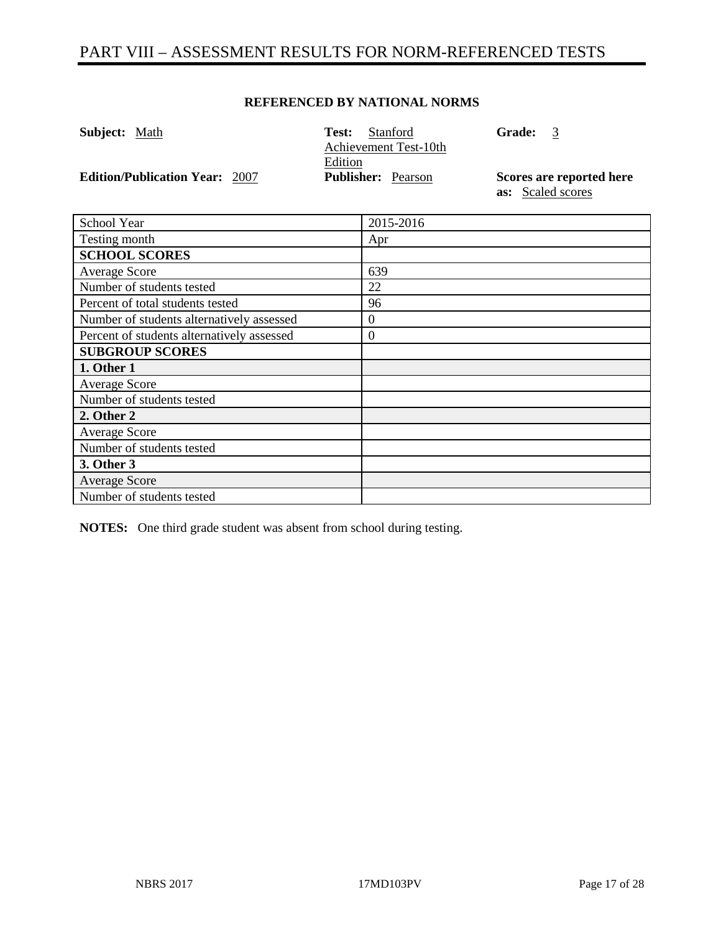# PART VIII – ASSESSMENT RESULTS FOR NORM-REFERENCED TESTS

#### **REFERENCED BY NATIONAL NORMS**

| <b>Subject:</b> Math                  | Stanford<br>Test:         | <b>Grade:</b><br>- 3     |
|---------------------------------------|---------------------------|--------------------------|
|                                       | Achievement Test-10th     |                          |
|                                       | Edition                   |                          |
| <b>Edition/Publication Year: 2007</b> | <b>Publisher:</b> Pearson | Scores are reported here |
|                                       |                           | as: Scaled scores        |

| <b>School Year</b>                         | 2015-2016        |
|--------------------------------------------|------------------|
| Testing month                              | Apr              |
| <b>SCHOOL SCORES</b>                       |                  |
| <b>Average Score</b>                       | 639              |
| Number of students tested                  | 22               |
| Percent of total students tested           | 96               |
| Number of students alternatively assessed  | $\boldsymbol{0}$ |
| Percent of students alternatively assessed | 0                |
| <b>SUBGROUP SCORES</b>                     |                  |
| 1. Other 1                                 |                  |
| Average Score                              |                  |
| Number of students tested                  |                  |
| 2. Other 2                                 |                  |
| <b>Average Score</b>                       |                  |
| Number of students tested                  |                  |
| 3. Other 3                                 |                  |
| <b>Average Score</b>                       |                  |
| Number of students tested                  |                  |

**NOTES:** One third grade student was absent from school during testing.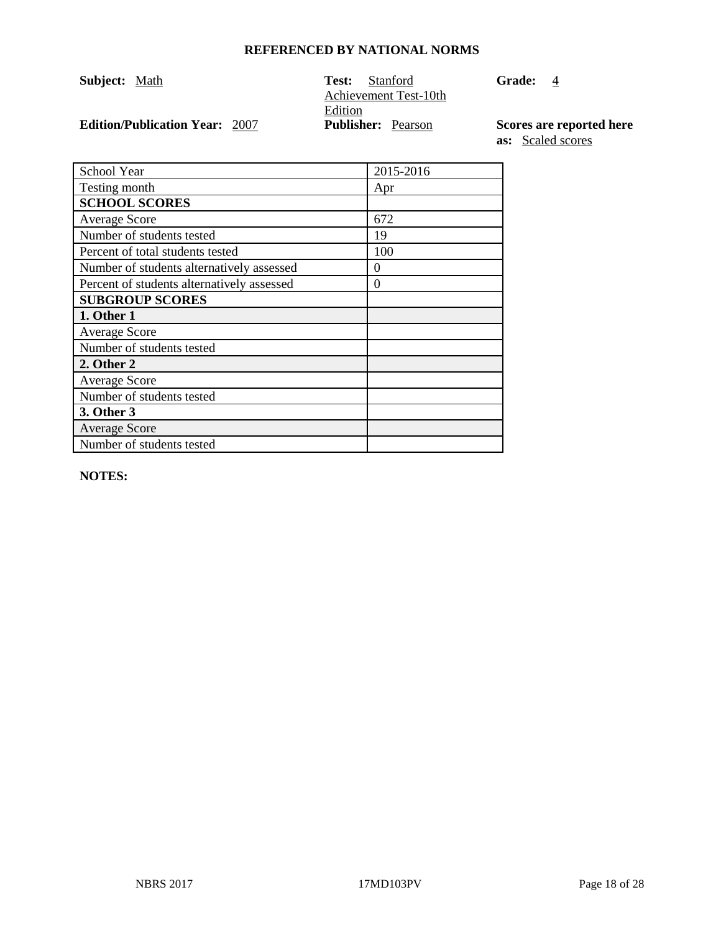| <b>Subject:</b> Math |                                       | Test:   | Stanford<br>Achievement Test-10th | <b>Grade:</b> | -4                       |
|----------------------|---------------------------------------|---------|-----------------------------------|---------------|--------------------------|
|                      |                                       | Edition |                                   |               |                          |
|                      | <b>Edition/Publication Year: 2007</b> |         | <b>Publisher:</b> Pearson         |               | Scores are reported here |

**as:** Scaled scores

| School Year                                | 2015-2016 |
|--------------------------------------------|-----------|
| Testing month                              | Apr       |
| <b>SCHOOL SCORES</b>                       |           |
| <b>Average Score</b>                       | 672       |
| Number of students tested                  | 19        |
| Percent of total students tested           | 100       |
| Number of students alternatively assessed  | 0         |
| Percent of students alternatively assessed | 0         |
| <b>SUBGROUP SCORES</b>                     |           |
| 1. Other 1                                 |           |
| <b>Average Score</b>                       |           |
| Number of students tested                  |           |
| 2. Other 2                                 |           |
| <b>Average Score</b>                       |           |
| Number of students tested                  |           |
| 3. Other 3                                 |           |
| <b>Average Score</b>                       |           |
| Number of students tested                  |           |

**NOTES:**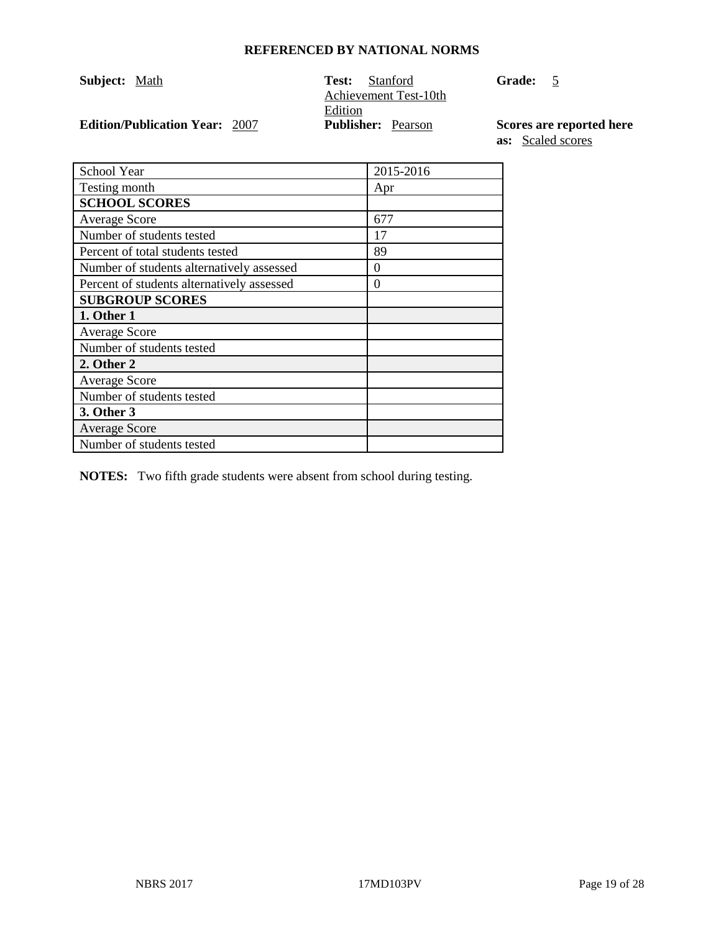| Subject: Math                         | - Stanford<br>Test:       | <b>Grade:</b>     |
|---------------------------------------|---------------------------|-------------------|
|                                       | Achievement Test-10th     |                   |
|                                       | Edition                   |                   |
| <b>Edition/Publication Year: 2007</b> | <b>Publisher:</b> Pearson | <b>Scores</b> are |

 $\overline{5}$ 

**Example 2 Publishers Published here as:** Scaled scores

| <b>School Year</b>                         | 2015-2016 |
|--------------------------------------------|-----------|
| Testing month                              | Apr       |
| <b>SCHOOL SCORES</b>                       |           |
| <b>Average Score</b>                       | 677       |
| Number of students tested                  | 17        |
| Percent of total students tested           | 89        |
| Number of students alternatively assessed  | $\Omega$  |
| Percent of students alternatively assessed | $\Omega$  |
| <b>SUBGROUP SCORES</b>                     |           |
| 1. Other 1                                 |           |
| <b>Average Score</b>                       |           |
| Number of students tested                  |           |
| 2. Other 2                                 |           |
| <b>Average Score</b>                       |           |
| Number of students tested                  |           |
| 3. Other 3                                 |           |
| <b>Average Score</b>                       |           |
| Number of students tested                  |           |

**NOTES:** Two fifth grade students were absent from school during testing.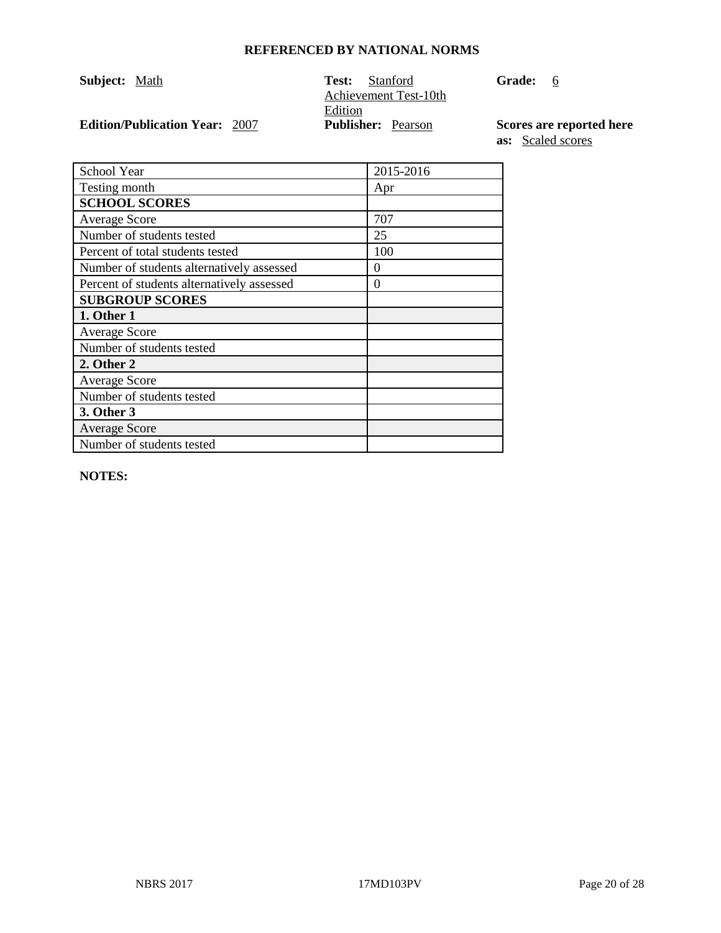| <b>Subject:</b> Math |                                       | Test:<br>Stanford<br>Achievement Test-10th | <b>Grade:</b><br>- 6     |
|----------------------|---------------------------------------|--------------------------------------------|--------------------------|
|                      |                                       | Edition                                    |                          |
|                      | <b>Edition/Publication Year: 2007</b> | <b>Publisher:</b> Pearson                  | Scores are reported here |

**as:** Scaled scores

| School Year                                | 2015-2016 |
|--------------------------------------------|-----------|
| Testing month                              | Apr       |
| <b>SCHOOL SCORES</b>                       |           |
| <b>Average Score</b>                       | 707       |
| Number of students tested                  | 25        |
| Percent of total students tested           | 100       |
| Number of students alternatively assessed  | $\theta$  |
| Percent of students alternatively assessed | $\theta$  |
| <b>SUBGROUP SCORES</b>                     |           |
| 1. Other 1                                 |           |
| <b>Average Score</b>                       |           |
| Number of students tested                  |           |
| 2. Other 2                                 |           |
| <b>Average Score</b>                       |           |
| Number of students tested                  |           |
| 3. Other 3                                 |           |
| <b>Average Score</b>                       |           |
| Number of students tested                  |           |

**NOTES:**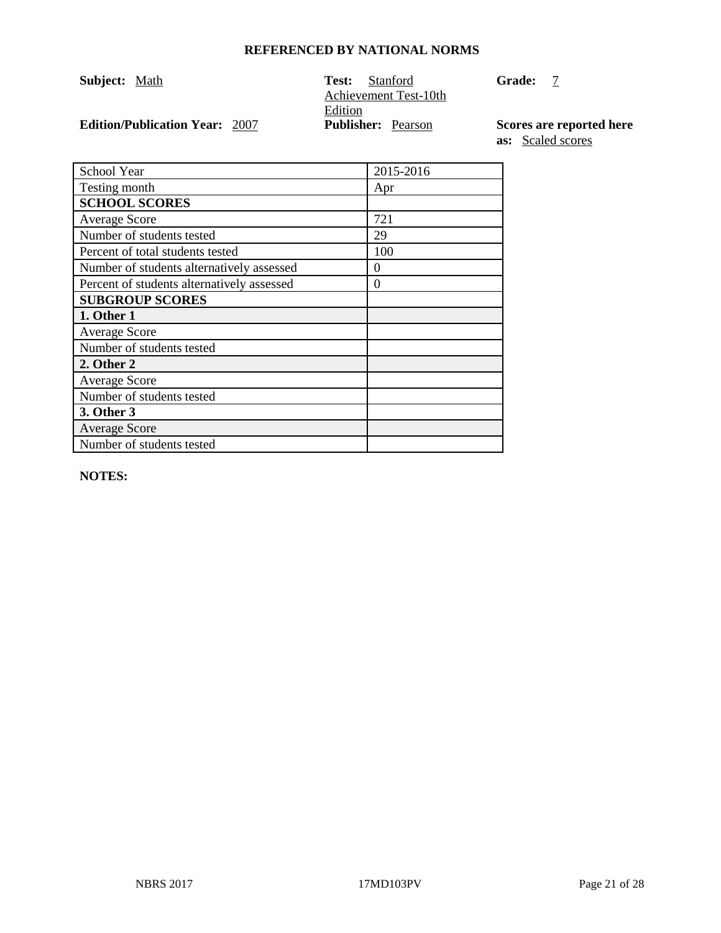| <b>Subject:</b> Math                  | Test:<br>Stanford<br>Achievement Test-10th | <b>Grade:</b>            |
|---------------------------------------|--------------------------------------------|--------------------------|
|                                       | Edition                                    |                          |
| <b>Edition/Publication Year: 2007</b> | <b>Publisher:</b> Pearson                  | Scores are reported here |

**as:** Scaled scores

| School Year                                | 2015-2016 |
|--------------------------------------------|-----------|
| Testing month                              | Apr       |
| <b>SCHOOL SCORES</b>                       |           |
| <b>Average Score</b>                       | 721       |
| Number of students tested                  | 29        |
| Percent of total students tested           | 100       |
| Number of students alternatively assessed  | $\Omega$  |
| Percent of students alternatively assessed | 0         |
| <b>SUBGROUP SCORES</b>                     |           |
| 1. Other 1                                 |           |
| <b>Average Score</b>                       |           |
| Number of students tested                  |           |
| 2. Other 2                                 |           |
| <b>Average Score</b>                       |           |
| Number of students tested                  |           |
| 3. Other 3                                 |           |
| <b>Average Score</b>                       |           |
| Number of students tested                  |           |

**NOTES:**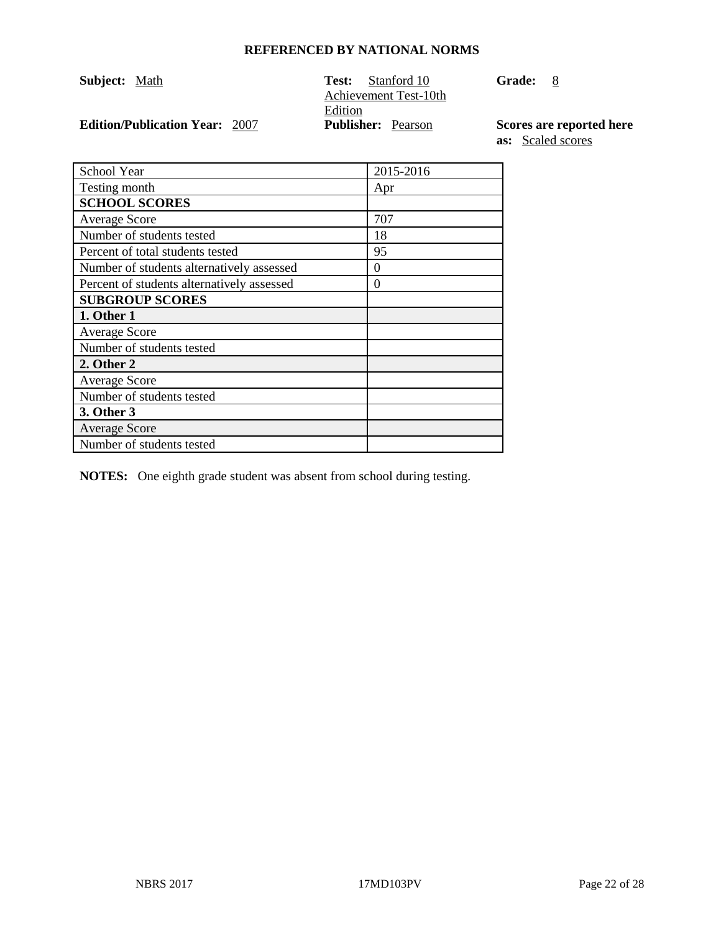| <b>Subject:</b> Math                  | Test:                                | Stanford 10<br>Achievement Test-10th | <b>Grade:</b> | 8 |
|---------------------------------------|--------------------------------------|--------------------------------------|---------------|---|
| <b>Edition/Publication Year: 2007</b> | Edition<br><b>Publisher:</b> Pearson |                                      | Scores are r  |   |

**Edition/Publication Year:** 2007 **Publisher:** Pearson **Scores are reported here as:** Scaled scores

| School Year                                | 2015-2016 |
|--------------------------------------------|-----------|
| Testing month                              | Apr       |
| <b>SCHOOL SCORES</b>                       |           |
| <b>Average Score</b>                       | 707       |
| Number of students tested                  | 18        |
| Percent of total students tested           | 95        |
| Number of students alternatively assessed  | 0         |
| Percent of students alternatively assessed | $\theta$  |
| <b>SUBGROUP SCORES</b>                     |           |
| 1. Other 1                                 |           |
| <b>Average Score</b>                       |           |
| Number of students tested                  |           |
| 2. Other 2                                 |           |
| <b>Average Score</b>                       |           |
| Number of students tested                  |           |
| 3. Other 3                                 |           |
| <b>Average Score</b>                       |           |
| Number of students tested                  |           |

**NOTES:** One eighth grade student was absent from school during testing.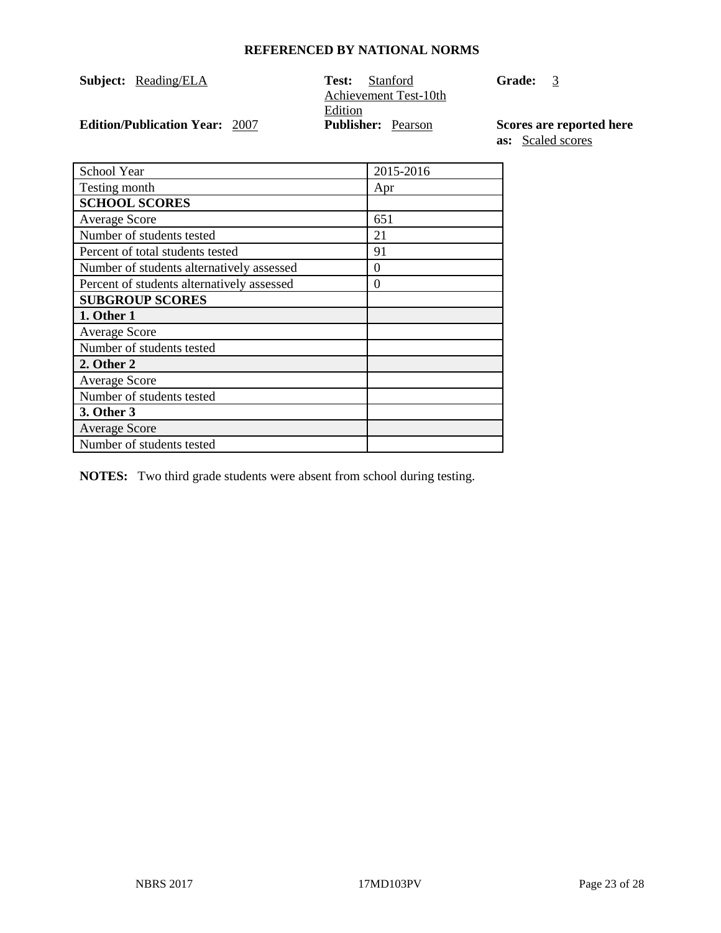| <b>Subject:</b> Reading/ELA           | <b>Test:</b> Stanford<br>Achievement Test-10th | <b>Grade:</b>     |
|---------------------------------------|------------------------------------------------|-------------------|
| <b>Edition/Publication Year: 2007</b> | Edition<br><b>Publisher:</b> Pearson           | <b>Scores</b> are |

**Grade:** 3

**E** reported here **as:** Scaled scores

| <b>School Year</b>                         | 2015-2016 |
|--------------------------------------------|-----------|
| Testing month                              | Apr       |
| <b>SCHOOL SCORES</b>                       |           |
| <b>Average Score</b>                       | 651       |
| Number of students tested                  | 21        |
| Percent of total students tested           | 91        |
| Number of students alternatively assessed  | 0         |
| Percent of students alternatively assessed | $\theta$  |
| <b>SUBGROUP SCORES</b>                     |           |
| 1. Other 1                                 |           |
| <b>Average Score</b>                       |           |
| Number of students tested                  |           |
| 2. Other 2                                 |           |
| <b>Average Score</b>                       |           |
| Number of students tested                  |           |
| 3. Other 3                                 |           |
| <b>Average Score</b>                       |           |
| Number of students tested                  |           |

**NOTES:** Two third grade students were absent from school during testing.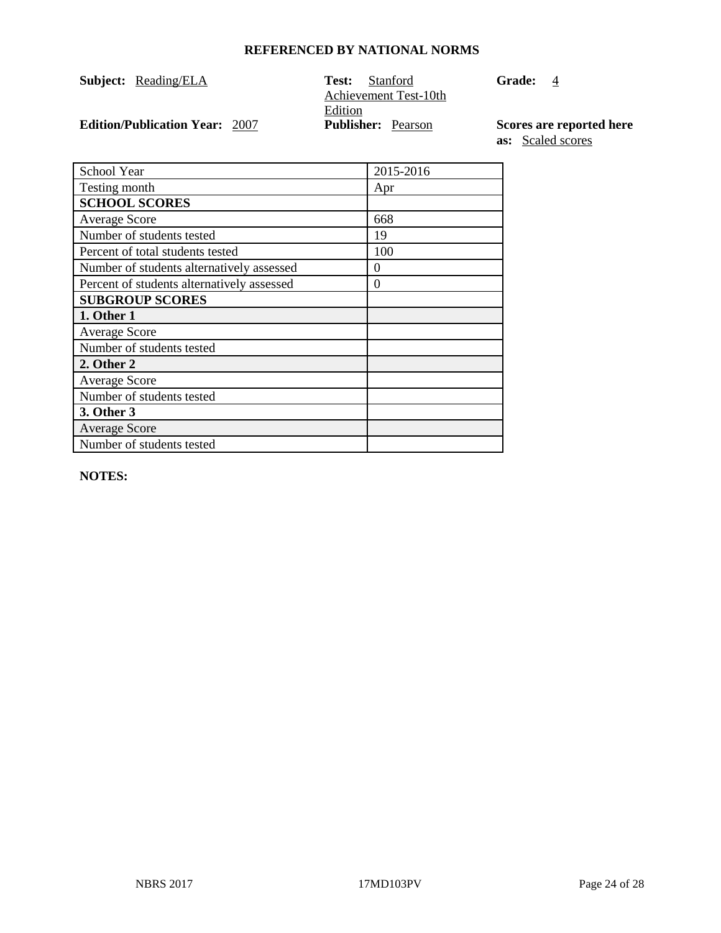| <b>Subject:</b> Reading/ELA           | Test:   | Stanford<br>Achievement Test-10th | Grade: | -4                       |
|---------------------------------------|---------|-----------------------------------|--------|--------------------------|
| <b>Edition/Publication Year: 2007</b> | Edition | <b>Publisher:</b> Pearson         |        | Scores are reported here |
|                                       |         |                                   |        |                          |

**as:** Scaled scores

| School Year                                | 2015-2016 |
|--------------------------------------------|-----------|
| Testing month                              | Apr       |
| <b>SCHOOL SCORES</b>                       |           |
| <b>Average Score</b>                       | 668       |
| Number of students tested                  | 19        |
| Percent of total students tested           | 100       |
| Number of students alternatively assessed  | $\Omega$  |
| Percent of students alternatively assessed | $\theta$  |
| <b>SUBGROUP SCORES</b>                     |           |
| 1. Other 1                                 |           |
| <b>Average Score</b>                       |           |
| Number of students tested                  |           |
| 2. Other 2                                 |           |
| <b>Average Score</b>                       |           |
| Number of students tested                  |           |
| 3. Other 3                                 |           |
| <b>Average Score</b>                       |           |
| Number of students tested                  |           |

**NOTES:**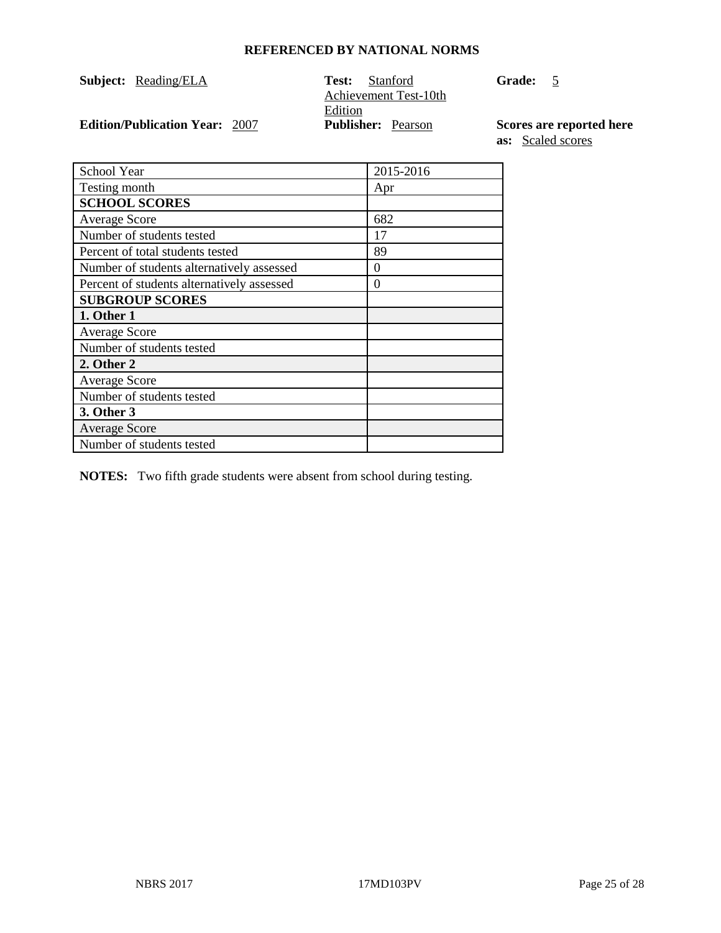| <b>Subject:</b> Reading/ELA           | Test:<br><b>Stanford</b><br>Achievement Test-10th | <b>Grade:</b><br>5 |
|---------------------------------------|---------------------------------------------------|--------------------|
|                                       | Edition                                           |                    |
| <b>Edition/Publication Year: 2007</b> | <b>Publisher:</b> Pearson                         | Scores are r       |

**Edition Publishere Publishers as:** Scaled scores

| School Year                                | 2015-2016 |
|--------------------------------------------|-----------|
| Testing month                              | Apr       |
| <b>SCHOOL SCORES</b>                       |           |
| <b>Average Score</b>                       | 682       |
| Number of students tested                  | 17        |
| Percent of total students tested           | 89        |
| Number of students alternatively assessed  | $\Omega$  |
| Percent of students alternatively assessed | 0         |
| <b>SUBGROUP SCORES</b>                     |           |
| 1. Other 1                                 |           |
| <b>Average Score</b>                       |           |
| Number of students tested                  |           |
| 2. Other 2                                 |           |
| <b>Average Score</b>                       |           |
| Number of students tested                  |           |
| 3. Other 3                                 |           |
| <b>Average Score</b>                       |           |
| Number of students tested                  |           |

**NOTES:** Two fifth grade students were absent from school during testing.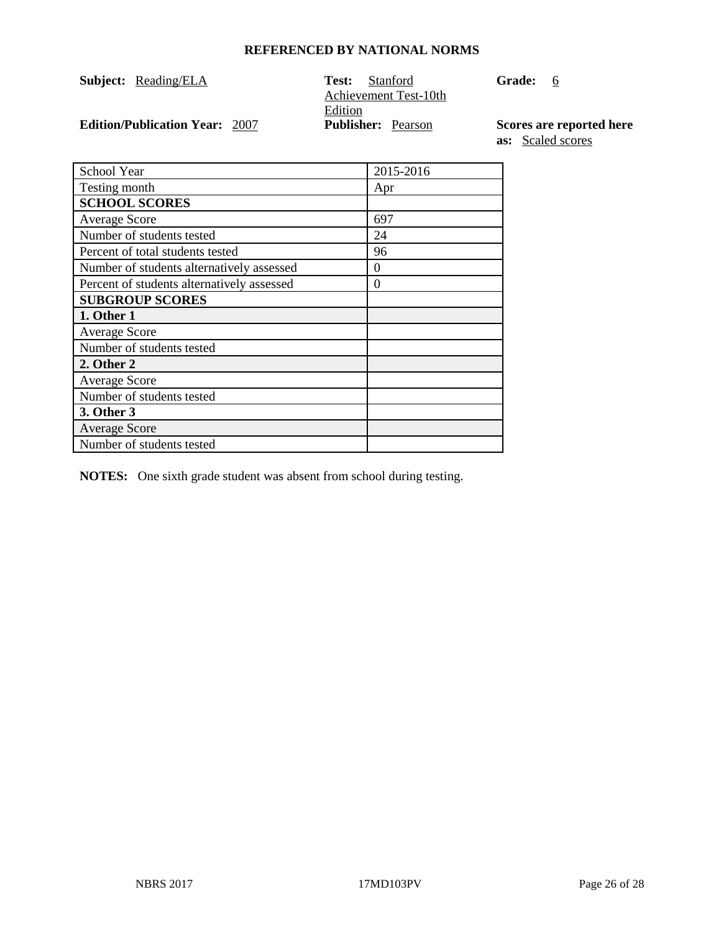| <b>Subject:</b> Reading/ELA           | Test:<br><b>Stanford</b>  | - 6<br>Grade: |
|---------------------------------------|---------------------------|---------------|
|                                       | Achievement Test-10th     |               |
|                                       | Edition                   |               |
| <b>Edition/Publication Year: 2007</b> | <b>Publisher:</b> Pearson | Scores are r  |

**Edition/Publication Year:** 2007 **Publisher:** Pearson **Scores are reported here as:** Scaled scores

| School Year                                | 2015-2016 |
|--------------------------------------------|-----------|
| Testing month                              | Apr       |
| <b>SCHOOL SCORES</b>                       |           |
| <b>Average Score</b>                       | 697       |
| Number of students tested                  | 24        |
| Percent of total students tested           | 96        |
| Number of students alternatively assessed  | 0         |
| Percent of students alternatively assessed | $\theta$  |
| <b>SUBGROUP SCORES</b>                     |           |
| 1. Other 1                                 |           |
| <b>Average Score</b>                       |           |
| Number of students tested                  |           |
| 2. Other 2                                 |           |
| <b>Average Score</b>                       |           |
| Number of students tested                  |           |
| 3. Other 3                                 |           |
| <b>Average Score</b>                       |           |
| Number of students tested                  |           |

**NOTES:** One sixth grade student was absent from school during testing.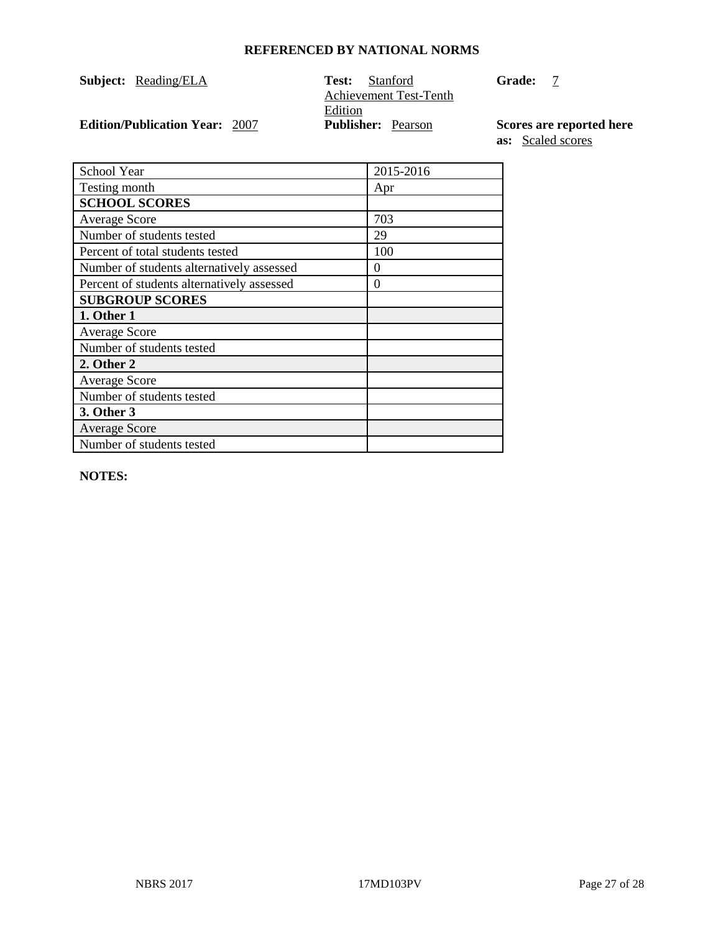| <b>Subject:</b> Reading/ELA           | Test:   | Stanford<br>Achievement Test-Tenth | <b>Grade:</b> |                          |
|---------------------------------------|---------|------------------------------------|---------------|--------------------------|
|                                       | Edition |                                    |               |                          |
| <b>Edition/Publication Year: 2007</b> |         | <b>Publisher:</b> Pearson          |               | Scores are reported here |

**as:** Scaled scores

| School Year                                | 2015-2016 |
|--------------------------------------------|-----------|
| Testing month                              | Apr       |
| <b>SCHOOL SCORES</b>                       |           |
| <b>Average Score</b>                       | 703       |
| Number of students tested                  | 29        |
| Percent of total students tested           | 100       |
| Number of students alternatively assessed  | $\theta$  |
| Percent of students alternatively assessed | 0         |
| <b>SUBGROUP SCORES</b>                     |           |
| 1. Other 1                                 |           |
| <b>Average Score</b>                       |           |
| Number of students tested                  |           |
| 2. Other 2                                 |           |
| <b>Average Score</b>                       |           |
| Number of students tested                  |           |
| 3. Other 3                                 |           |
| <b>Average Score</b>                       |           |
| Number of students tested                  |           |

**NOTES:**